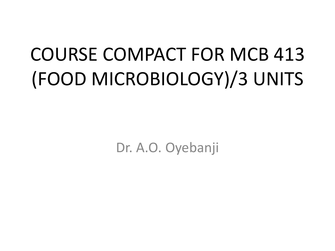# COURSE COMPACT FOR MCB 413 (FOOD MICROBIOLOGY)/3 UNITS

Dr. A.O. Oyebanji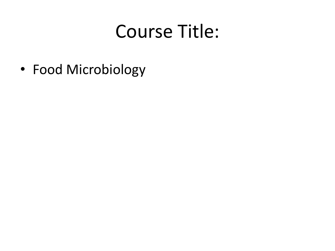## Course Title:

• Food Microbiology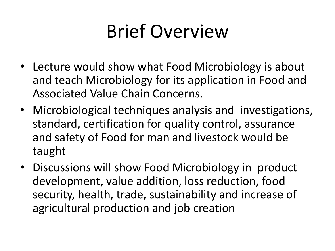## Brief Overview

- Lecture would show what Food Microbiology is about and teach Microbiology for its application in Food and Associated Value Chain Concerns.
- Microbiological techniques analysis and investigations, standard, certification for quality control, assurance and safety of Food for man and livestock would be taught
- Discussions will show Food Microbiology in product development, value addition, loss reduction, food security, health, trade, sustainability and increase of agricultural production and job creation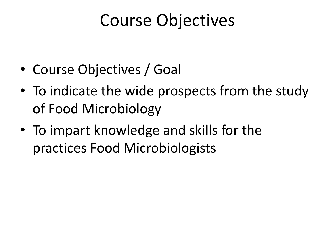#### Course Objectives

- Course Objectives / Goal
- To indicate the wide prospects from the study of Food Microbiology
- To impart knowledge and skills for the practices Food Microbiologists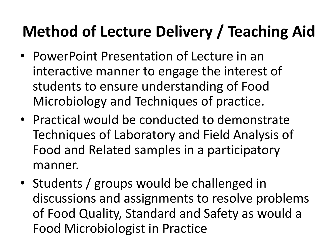#### **Method of Lecture Delivery / Teaching Aid**

- PowerPoint Presentation of Lecture in an interactive manner to engage the interest of students to ensure understanding of Food Microbiology and Techniques of practice.
- Practical would be conducted to demonstrate Techniques of Laboratory and Field Analysis of Food and Related samples in a participatory manner.
- Students / groups would be challenged in discussions and assignments to resolve problems of Food Quality, Standard and Safety as would a Food Microbiologist in Practice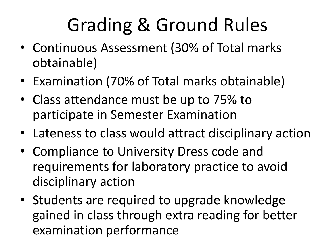# Grading & Ground Rules

- Continuous Assessment (30% of Total marks obtainable)
- Examination (70% of Total marks obtainable)
- Class attendance must be up to 75% to participate in Semester Examination
- Lateness to class would attract disciplinary action
- Compliance to University Dress code and requirements for laboratory practice to avoid disciplinary action
- Students are required to upgrade knowledge gained in class through extra reading for better examination performance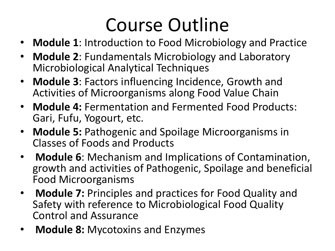## Course Outline

- **Module 1**: Introduction to Food Microbiology and Practice
- **Module 2**: Fundamentals Microbiology and Laboratory Microbiological Analytical Techniques
- **Module 3**: Factors influencing Incidence, Growth and Activities of Microorganisms along Food Value Chain
- **Module 4:** Fermentation and Fermented Food Products: Gari, Fufu, Yogourt, etc.
- **Module 5:** Pathogenic and Spoilage Microorganisms in Classes of Foods and Products
- **Module 6**: Mechanism and Implications of Contamination, growth and activities of Pathogenic, Spoilage and beneficial Food Microorganisms
- **Module 7:** Principles and practices for Food Quality and Safety with reference to Microbiological Food Quality Control and Assurance
- **Module 8:** Mycotoxins and Enzymes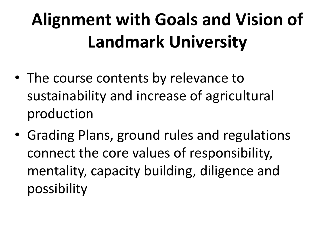## **Alignment with Goals and Vision of Landmark University**

- The course contents by relevance to sustainability and increase of agricultural production
- Grading Plans, ground rules and regulations connect the core values of responsibility, mentality, capacity building, diligence and possibility